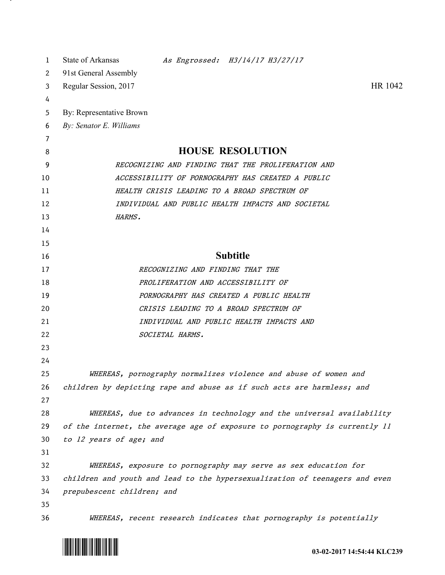| 1  | State of Arkansas<br>As Engrossed: H3/14/17 H3/27/17                        |
|----|-----------------------------------------------------------------------------|
| 2  | 91st General Assembly                                                       |
| 3  | HR 1042<br>Regular Session, 2017                                            |
| 4  |                                                                             |
| 5  | By: Representative Brown                                                    |
| 6  | By: Senator E. Williams                                                     |
| 7  |                                                                             |
| 8  | <b>HOUSE RESOLUTION</b>                                                     |
| 9  | RECOGNIZING AND FINDING THAT THE PROLIFERATION AND                          |
| 10 | ACCESSIBILITY OF PORNOGRAPHY HAS CREATED A PUBLIC                           |
| 11 | HEALTH CRISIS LEADING TO A BROAD SPECTRUM OF                                |
| 12 | INDIVIDUAL AND PUBLIC HEALTH IMPACTS AND SOCIETAL                           |
| 13 | HARMS.                                                                      |
| 14 |                                                                             |
| 15 |                                                                             |
| 16 | <b>Subtitle</b>                                                             |
| 17 | RECOGNIZING AND FINDING THAT THE                                            |
| 18 | PROLIFERATION AND ACCESSIBILITY OF                                          |
| 19 | PORNOGRAPHY HAS CREATED A PUBLIC HEALTH                                     |
| 20 | CRISIS LEADING TO A BROAD SPECTRUM OF                                       |
| 21 | INDIVIDUAL AND PUBLIC HEALTH IMPACTS AND                                    |
| 22 | SOCIETAL HARMS.                                                             |
| 23 |                                                                             |
| 24 |                                                                             |
| 25 | WHEREAS, pornography normalizes violence and abuse of women and             |
| 26 | children by depicting rape and abuse as if such acts are harmless; and      |
| 27 |                                                                             |
| 28 | WHEREAS, due to advances in technology and the universal availability       |
| 29 | of the internet, the average age of exposure to pornography is currently 11 |
| 30 | to 12 years of age; and                                                     |
| 31 |                                                                             |
| 32 | WHEREAS, exposure to pornography may serve as sex education for             |
| 33 | children and youth and lead to the hypersexualization of teenagers and even |
| 34 | prepubescent children; and                                                  |
| 35 |                                                                             |
| 36 | WHEREAS, recent research indicates that pornography is potentially          |



<u>на п</u>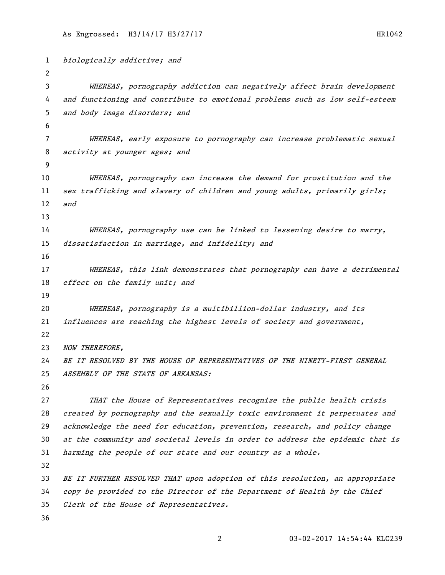```
1 biologically addictive; and 
 2
 3 WHEREAS, pornography addiction can negatively affect brain development 
 4 and functioning and contribute to emotional problems such as low self-esteem 
 5 and body image disorders; and
 6
 7 WHEREAS, early exposure to pornography can increase problematic sexual 
8 activity at younger ages; and
9
10 WHEREAS, pornography can increase the demand for prostitution and the 
11 sex trafficking and slavery of children and young adults, primarily girls; 
12 and 
13
14 WHEREAS, pornography use can be linked to lessening desire to marry, 
15 dissatisfaction in marriage, and infidelity; and
16
17 WHEREAS, this link demonstrates that pornography can have a detrimental
18 effect on the family unit; and
19
20 WHEREAS, pornography is a multibillion-dollar industry, and its 
21 influences are reaching the highest levels of society and government,
22
23 NOW THEREFORE,
24 BE IT RESOLVED BY THE HOUSE OF REPRESENTATIVES OF THE NINETY-FIRST GENERAL 
25 ASSEMBLY OF THE STATE OF ARKANSAS:
26
27 THAT the House of Representatives recognize the public health crisis 
28 created by pornography and the sexually toxic environment it perpetuates and 
29 acknowledge the need for education, prevention, research, and policy change 
30 at the community and societal levels in order to address the epidemic that is 
31 harming the people of our state and our country as a whole. 
32
33 BE IT FURTHER RESOLVED THAT upon adoption of this resolution, an appropriate 
34 copy be provided to the Director of the Department of Health by the Chief 
35 Clerk of the House of Representatives.
36
```
03-02-2017 14:54:44 KLC239